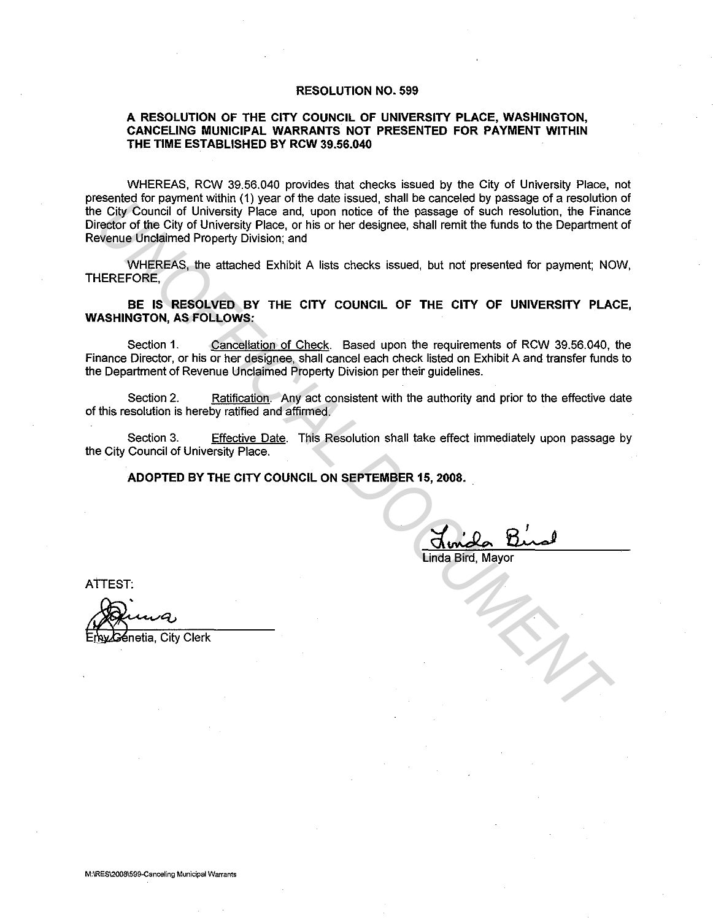## RESOLUTION NO. 599

## A RESOLUTION OF THE CITY COUNCIL OF UNIVERSITY PLACE, WASHINGTON, CANCELING MUNICIPAL WARRANTS NOT PRESENTED FOR PAYMENT WITHIN THE TIME ESTABLISHED BY RCW 39.56.040

WHEREAS, RCW 39.56.040 provides that checks issued by the City of University Place, not presented for payment within (1) year of the date issued, shall be canceled by passage of a resolution of the City Council of University Place and, upon notice of the passage of such resolution, the Finance Director of the City of University Place, or his or her designee, shall remit the funds to the Department of Revenue Unclaimed Property Division; and **UNIFICIAL WATERVISH WAS ONE CONSIDERED ASSESS OF A SECURE CONSIDERATIVE CONSIDERATIVE CONSIDERATIVE CONSIDERATIVE CONSIDERATIVE CONSIDERATIVE CONSIDERATIVE CONSIDERATIVE CONSIDERATIVE CONSIDERATIVE CONSIDERATIVE ARE INTER** 

WHEREAS, the attached Exhibit A lists checks issued, but not presented for payment; NOW, THEREFORE,

BE IS RESOLVED BY THE CITY COUNCIL OF THE CITY OF UNIVERSITY PLACE, WASHINGTON, AS FOLLOWS:

Section 1. Cancellation of Check. Based upon the requirements of RCW 39.56.040, the Finance Director, or his or her designee, shall cancel each check listed on Exhibit A and transfer funds to the Department of Revenue Unclaimed Property Division per their guidelines.

Section 2. Ratification. Any act consistent with the authority and prior to the effective date of this resolution is hereby ratified and affirmed.

Section 3. Effective Date. This Resolution shall take effect immediately upon passage by the City Council of University Place.

ADOPTED BY THE CITY COUNCIL ON SEPTEMBER 15, 2008.

Linda Bird, Mayor

ATTEST:

śnetia, City Clerk